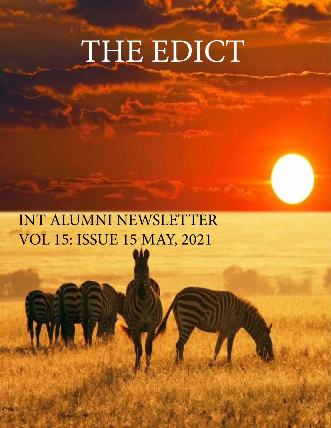# THE EDICT

 INT ALUMNI NEWSLETTER VOL 15: ISSUE 15 MAY, 2021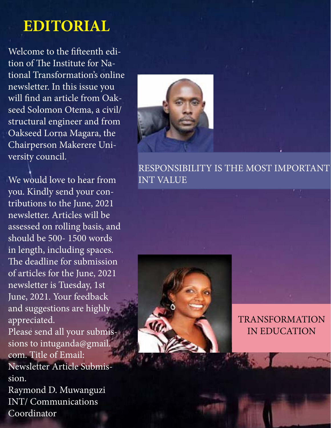## **EDITORIAL**

Welcome to the fifteenth edition of The Institute for National Transformation's online newsletter. In this issue you will find an article from Oakseed Solomon Otema, a civil/ structural engineer and from Oakseed Lorna Magara, the Chairperson Makerere University council.

We would love to hear from you. Kindly send your contributions to the June, 2021 newsletter. Articles will be assessed on rolling basis, and should be 500- 1500 words in length, including spaces. The deadline for submission of articles for the June, 2021 newsletter is Tuesday, 1st June, 2021. Your feedback and suggestions are highly appreciated. Please send all your submissions to intuganda@gmail. com. Title of Email: Newsletter Article Submission. Raymond D. Muwanguzi INT/ Communications

Coordinator



RESPONSIBILITY IS THE MOST IMPORTANT INT VALUE

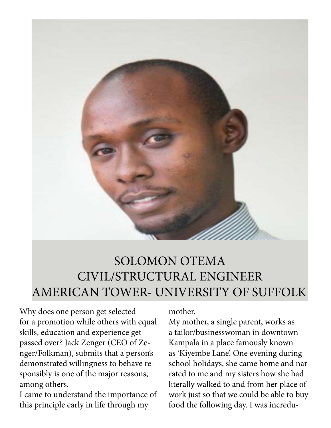

### SOLOMON OTEMA CIVIL/STRUCTURAL ENGINEER AMERICAN TOWER- UNIVERSITY OF SUFFOLK

Why does one person get selected for a promotion while others with equal skills, education and experience get passed over? Jack Zenger (CEO of Zenger/Folkman), submits that a person's demonstrated willingness to behave responsibly is one of the major reasons, among others.

I came to understand the importance of this principle early in life through my

mother.

My mother, a single parent, works as a tailor/businesswoman in downtown Kampala in a place famously known as 'Kiyembe Lane'. One evening during school holidays, she came home and narrated to me and my sisters how she had literally walked to and from her place of work just so that we could be able to buy food the following day. I was incredu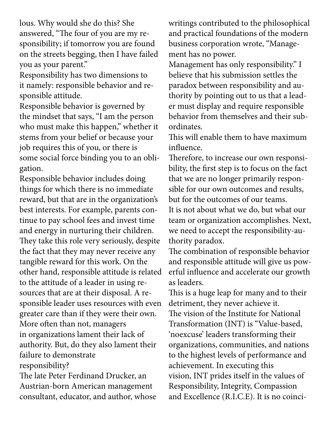lous. Why would she do this? She answered, "The four of you are my responsibility; if tomorrow you are found on the streets begging, then I have failed you as your parent."

Responsibility has two dimensions to it namely: responsible behavior and responsible attitude.

Responsible behavior is governed by the mindset that says, "I am the person who must make this happen," whether it stems from your belief or because your job requires this of you, or there is some social force binding you to an obligation.

Responsible behavior includes doing things for which there is no immediate reward, but that are in the organization's best interests. For example, parents continue to pay school fees and invest time and energy in nurturing their children. They take this role very seriously, despite the fact that they may never receive any tangible reward for this work. On the other hand, responsible attitude is related to the attitude of a leader in using resources that are at their disposal. A responsible leader uses resources with even greater care than if they were their own. More often than not, managers in organizations lament their lack of authority. But, do they also lament their failure to demonstrate responsibility?

The late Peter Ferdinand Drucker, an Austrian-born American management consultant, educator, and author, whose writings contributed to the philosophical and practical foundations of the modern business corporation wrote, "Management has no power.

Management has only responsibility." I believe that his submission settles the paradox between responsibility and authority by pointing out to us that a leader must display and require responsible behavior from themselves and their subordinates.

This will enable them to have maximum influence.

Therefore, to increase our own responsibility, the first step is to focus on the fact that we are no longer primarily responsible for our own outcomes and results, but for the outcomes of our teams. It is not about what we do, but what our team or organization accomplishes. Next, we need to accept the responsibility-authority paradox.

The combination of responsible behavior and responsible attitude will give us powerful influence and accelerate our growth as leaders.

This is a huge leap for many and to their detriment, they never achieve it.

The vision of the Institute for National Transformation (INT) is "Value-based, 'noexcuse' leaders transforming their organizations, communities, and nations to the highest levels of performance and achievement. In executing this vision, INT prides itself in the values of Responsibility, Integrity, Compassion and Excellence (R.I.C.E). It is no coinci-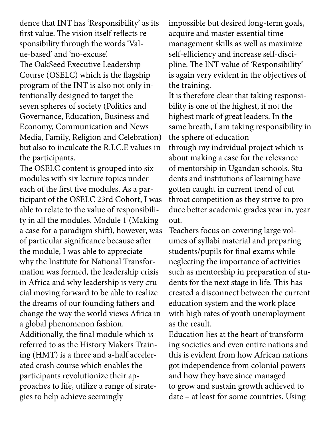dence that INT has 'Responsibility' as its first value. The vision itself reflects responsibility through the words 'Value-based' and 'no-excuse'.

The OakSeed Executive Leadership Course (OSELC) which is the flagship program of the INT is also not only intentionally designed to target the seven spheres of society (Politics and Governance, Education, Business and Economy, Communication and News Media, Family, Religion and Celebration) but also to inculcate the R.I.C.E values in the participants.

The OSELC content is grouped into six modules with six lecture topics under each of the first five modules. As a participant of the OSELC 23rd Cohort, I was able to relate to the value of responsibility in all the modules. Module 1 (Making a case for a paradigm shift), however, was of particular significance because after the module, I was able to appreciate why the Institute for National Transformation was formed, the leadership crisis in Africa and why leadership is very crucial moving forward to be able to realize the dreams of our founding fathers and change the way the world views Africa in a global phenomenon fashion. Additionally, the final module which is referred to as the History Makers Training (HMT) is a three and a-half accelerated crash course which enables the participants revolutionize their approaches to life, utilize a range of strategies to help achieve seemingly

impossible but desired long-term goals, acquire and master essential time management skills as well as maximize self-efficiency and increase self-discipline. The INT value of 'Responsibility' is again very evident in the objectives of the training.

It is therefore clear that taking responsibility is one of the highest, if not the highest mark of great leaders. In the same breath, I am taking responsibility in the sphere of education through my individual project which is about making a case for the relevance of mentorship in Ugandan schools. Students and institutions of learning have gotten caught in current trend of cut throat competition as they strive to produce better academic grades year in, year out.

Teachers focus on covering large volumes of syllabi material and preparing students/pupils for final exams while neglecting the importance of activities such as mentorship in preparation of students for the next stage in life. This has created a disconnect between the current education system and the work place with high rates of youth unemployment as the result.

Education lies at the heart of transforming societies and even entire nations and this is evident from how African nations got independence from colonial powers and how they have since managed to grow and sustain growth achieved to date – at least for some countries. Using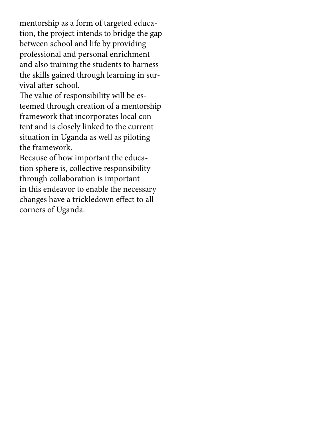mentorship as a form of targeted education, the project intends to bridge the gap between school and life by providing professional and personal enrichment and also training the students to harness the skills gained through learning in survival after school.

The value of responsibility will be esteemed through creation of a mentorship framework that incorporates local content and is closely linked to the current situation in Uganda as well as piloting the framework.

Because of how important the education sphere is, collective responsibility through collaboration is important in this endeavor to enable the necessary changes have a trickledown effect to all corners of Uganda.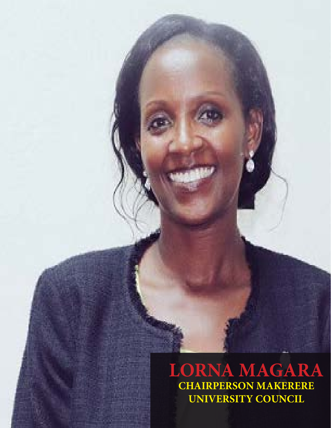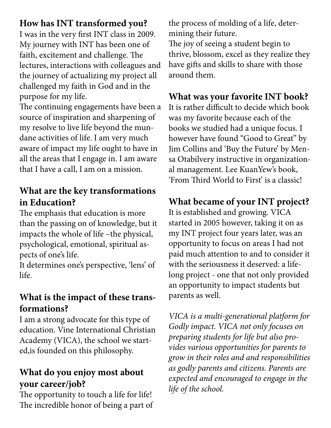#### **How has INT transformed you?**

I was in the very first INT class in 2009. My journey with INT has been one of faith, excitement and challenge. The lectures, interactions with colleagues and the journey of actualizing my project all challenged my faith in God and in the purpose for my life.

The continuing engagements have been a source of inspiration and sharpening of my resolve to live life beyond the mundane activities of life. I am very much aware of impact my life ought to have in all the areas that I engage in. I am aware that I have a call, I am on a mission.

#### **What are the key transformations in Education?**

The emphasis that education is more than the passing on of knowledge, but it impacts the whole of life –the physical, psychological, emotional, spiritual aspects of one's life.

It determines one's perspective, 'lens' of life.

#### **What is the impact of these transformations?**

I am a strong advocate for this type of education. Vine International Christian Academy (VICA), the school we started,is founded on this philosophy.

#### **What do you enjoy most about your career/job?**

The opportunity to touch a life for life! The incredible honor of being a part of the process of molding of a life, determining their future.

The joy of seeing a student begin to thrive, blossom, excel as they realize they have gifts and skills to share with those around them.

#### **What was your favorite INT book?**

It is rather difficult to decide which book was my favorite because each of the books we studied had a unique focus. I however have found "Good to Great" by Jim Collins and 'Buy the Future' by Mensa Otabilvery instructive in organizational management. Lee KuanYew's book, 'From Third World to First' is a classic!

#### **What became of your INT project?**

It is established and growing. VICA started in 2005 however, taking it on as my INT project four years later, was an opportunity to focus on areas I had not paid much attention to and to consider it with the seriousness it deserved: a lifelong project - one that not only provided an opportunity to impact students but parents as well.

*VICA is a multi-generational platform for Godly impact. VICA not only focuses on preparing students for life but also provides various opportunities for parents to grow in their roles and and responsibilities as godly parents and citizens. Parents are expected and encouraged to engage in the life of the school.*